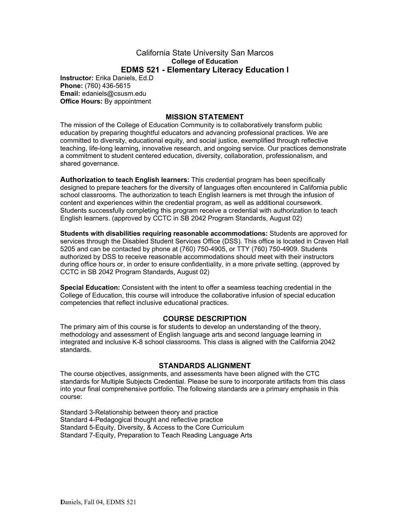#### California State University San Marcos **College of Education EDMS 521 - Elementary Literacy Education I**

**Instructor:** Erika Daniels, Ed.D **Phone:** (760) 436-5615 **Email:** edaniels@csusm.edu **Office Hours: By appointment** 

#### **MISSION STATEMENT**

The mission of the College of Education Community is to collaboratively transform public education by preparing thoughtful educators and advancing professional practices. We are committed to diversity, educational equity, and social justice, exemplified through reflective teaching, life-long learning, innovative research, and ongoing service. Our practices demonstrate a commitment to student centered education, diversity, collaboration, professionalism, and shared governance.

**Authorization to teach English learners:** This credential program has been specifically designed to prepare teachers for the diversity of languages often encountered in California public school classrooms. The authorization to teach English learners is met through the infusion of content and experiences within the credential program, as well as additional coursework. Students successfully completing this program receive a credential with authorization to teach English learners. (approved by CCTC in SB 2042 Program Standards, August 02)

**Students with disabilities requiring reasonable accommodations:** Students are approved for services through the Disabled Student Services Office (DSS). This office is located in Craven Hall 5205 and can be contacted by phone at (760) 750-4905, or TTY (760) 750-4909. Students authorized by DSS to receive reasonable accommodations should meet with their instructors during office hours or, in order to ensure confidentiality, in a more private setting. (approved by CCTC in SB 2042 Program Standards, August 02)

**Special Education:** Consistent with the intent to offer a seamless teaching credential in the College of Education, this course will introduce the collaborative infusion of special education competencies that reflect inclusive educational practices.

#### **COURSE DESCRIPTION**

The primary aim of this course is for students to develop an understanding of the theory, methodology and assessment of English language arts and second language learning in integrated and inclusive K-8 school classrooms. This class is aligned with the California 2042 standards.

#### **STANDARDS ALIGNMENT**

The course objectives, assignments, and assessments have been aligned with the CTC standards for Multiple Subjects Credential. Please be sure to incorporate artifacts from this class into your final comprehensive portfolio. The following standards are a primary emphasis in this course:

Standard 3-Relationship between theory and practice Standard 4-Pedagogical thought and reflective practice Standard 5-Equity, Diversity, & Access to the Core Curriculum Standard 7-Equity, Preparation to Teach Reading Language Arts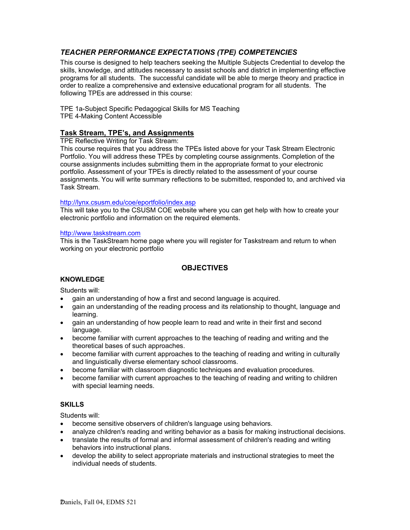# *TEACHER PERFORMANCE EXPECTATIONS (TPE) COMPETENCIES*

This course is designed to help teachers seeking the Multiple Subjects Credential to develop the skills, knowledge, and attitudes necessary to assist schools and district in implementing effective programs for all students. The successful candidate will be able to merge theory and practice in order to realize a comprehensive and extensive educational program for all students. The following TPEs are addressed in this course:

TPE 1a-Subject Specific Pedagogical Skills for MS Teaching TPE 4-Making Content Accessible

### **Task Stream, TPE's, and Assignments**

TPE Reflective Writing for Task Stream:

This course requires that you address the TPEs listed above for your Task Stream Electronic Portfolio. You will address these TPEs by completing course assignments. Completion of the course assignments includes submitting them in the appropriate format to your electronic portfolio. Assessment of your TPEs is directly related to the assessment of your course assignments. You will write summary reflections to be submitted, responded to, and archived via Task Stream.

#### http://lynx.csusm.edu/coe/eportfolio/index.asp

This will take you to the CSUSM COE website where you can get help with how to create your electronic portfolio and information on the required elements.

#### http://www.taskstream.com

This is the TaskStream home page where you will register for Taskstream and return to when working on your electronic portfolio

# **OBJECTIVES**

#### **KNOWLEDGE**

Students will:

- gain an understanding of how a first and second language is acquired.
- gain an understanding of the reading process and its relationship to thought, language and learning.
- gain an understanding of how people learn to read and write in their first and second language.
- become familiar with current approaches to the teaching of reading and writing and the theoretical bases of such approaches.
- become familiar with current approaches to the teaching of reading and writing in culturally and linguistically diverse elementary school classrooms.
- become familiar with classroom diagnostic techniques and evaluation procedures.
- become familiar with current approaches to the teaching of reading and writing to children with special learning needs.

#### **SKILLS**

Students will:

- become sensitive observers of children's language using behaviors.
- analyze children's reading and writing behavior as a basis for making instructional decisions.
- translate the results of formal and informal assessment of children's reading and writing behaviors into instructional plans.
- develop the ability to select appropriate materials and instructional strategies to meet the individual needs of students.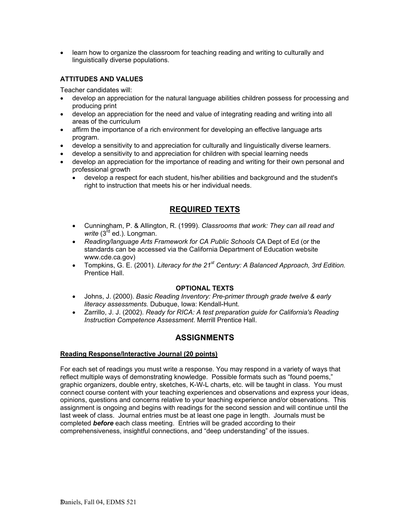• learn how to organize the classroom for teaching reading and writing to culturally and linguistically diverse populations.

#### **ATTITUDES AND VALUES**

Teacher candidates will:

- develop an appreciation for the natural language abilities children possess for processing and producing print
- develop an appreciation for the need and value of integrating reading and writing into all areas of the curriculum
- affirm the importance of a rich environment for developing an effective language arts program.
- develop a sensitivity to and appreciation for culturally and linguistically diverse learners.
- develop a sensitivity to and appreciation for children with special learning needs
- develop an appreciation for the importance of reading and writing for their own personal and professional growth
	- develop a respect for each student, his/her abilities and background and the student's right to instruction that meets his or her individual needs.

# **REQUIRED TEXTS**

- Cunningham, P. & Allington, R. (1999). *Classrooms that work: They can all read and*  write (3<sup>rd</sup> ed.). Longman.
- *Reading/language Arts Framework for CA Public Schools* CA Dept of Ed (or the standards can be accessed via the California Department of Education website www.cde.ca.gov)
- Tompkins, G. E. (2001). *Literacy for the 21st Century: A Balanced Approach, 3rd Edition.* Prentice Hall.

#### **OPTIONAL TEXTS**

- Johns, J. (2000). *Basic Reading Inventory: Pre-primer through grade twelve & early literacy assessments.* Dubuque, Iowa: Kendall-Hunt.
- Zarrillo, J. J. (2002). *Ready for RICA: A test preparation guide for California's Reading Instruction Competence Assessment*. Merrill Prentice Hall.

# **ASSIGNMENTS**

#### **Reading Response/Interactive Journal (20 points)**

For each set of readings you must write a response. You may respond in a variety of ways that reflect multiple ways of demonstrating knowledge. Possible formats such as "found poems," graphic organizers, double entry, sketches, K-W-L charts, etc. will be taught in class. You must connect course content with your teaching experiences and observations and express your ideas, opinions, questions and concerns relative to your teaching experience and/or observations. This assignment is ongoing and begins with readings for the second session and will continue until the last week of class. Journal entries must be at least one page in length. Journals must be completed *before* each class meeting. Entries will be graded according to their comprehensiveness, insightful connections, and "deep understanding" of the issues.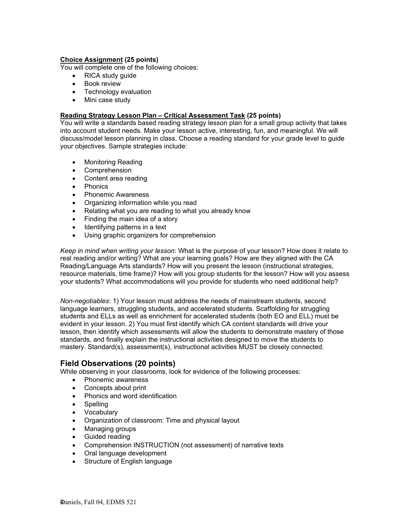#### **Choice Assignment (25 points)**

You will complete one of the following choices:

- RICA study guide
- Book review
- Technology evaluation
- Mini case study

#### **Reading Strategy Lesson Plan – Critical Assessment Task (25 points)**

You will write a standards based reading strategy lesson plan for a small group activity that takes into account student needs. Make your lesson active, interesting, fun, and meaningful. We will discuss/model lesson planning in class. Choose a reading standard for your grade level to guide your objectives. Sample strategies include:

- Monitoring Reading
- Comprehension
- Content area reading
- Phonics
- Phonemic Awareness
- Organizing information while you read
- Relating what you are reading to what you already know
- Finding the main idea of a story
- Identifying patterns in a text
- Using graphic organizers for comprehension

*Keep in mind when writing your lesson*: What is the purpose of your lesson? How does it relate to real reading and/or writing? What are your learning goals? How are they aligned with the CA Reading/Language Arts standards? How will you present the lesson (instructional strategies, resource materials, time frame)? How will you group students for the lesson? How will you assess your students? What accommodations will you provide for students who need additional help?

*Non-negotiables*: 1) Your lesson must address the needs of mainstream students, second language learners, struggling students, and accelerated students. Scaffolding for struggling students and ELLs as well as enrichment for accelerated students (both EO and ELL) must be evident in your lesson. 2) You must first identify which CA content standards will drive your lesson, then identify which assessments will allow the students to demonstrate mastery of those standards, and finally explain the instructional activities designed to move the students to mastery. Standard(s), assessment(s), instructional activities MUST be closely connected.

# **Field Observations (20 points)**

While observing in your classrooms, look for evidence of the following processes:

- Phonemic awareness
- Concepts about print
- Phonics and word identification
- **Spelling**
- **Vocabulary**
- Organization of classroom: Time and physical layout
- Managing groups
- Guided reading
- Comprehension INSTRUCTION (not assessment) of narrative texts
- Oral language development
- Structure of English language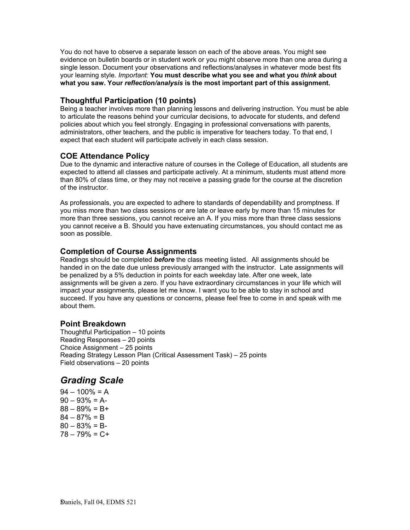You do not have to observe a separate lesson on each of the above areas. You might see evidence on bulletin boards or in student work or you might observe more than one area during a single lesson. Document your observations and reflections/analyses in whatever mode best fits your learning style. *Important:* **You must describe what you see and what you** *think* **about what you saw. Your** *reflection/analysis* **is the most important part of this assignment.** 

# **Thoughtful Participation (10 points)**

Being a teacher involves more than planning lessons and delivering instruction. You must be able to articulate the reasons behind your curricular decisions, to advocate for students, and defend policies about which you feel strongly. Engaging in professional conversations with parents, administrators, other teachers, and the public is imperative for teachers today. To that end, I expect that each student will participate actively in each class session.

# **COE Attendance Policy**

Due to the dynamic and interactive nature of courses in the College of Education, all students are expected to attend all classes and participate actively. At a minimum, students must attend more than 80% of class time, or they may not receive a passing grade for the course at the discretion of the instructor.

As professionals, you are expected to adhere to standards of dependability and promptness. If you miss more than two class sessions or are late or leave early by more than 15 minutes for more than three sessions, you cannot receive an A. If you miss more than three class sessions you cannot receive a B. Should you have extenuating circumstances, you should contact me as soon as possible.

# **Completion of Course Assignments**

Readings should be completed *before* the class meeting listed. All assignments should be handed in on the date due unless previously arranged with the instructor. Late assignments will be penalized by a 5% deduction in points for each weekday late. After one week, late assignments will be given a zero. If you have extraordinary circumstances in your life which will impact your assignments, please let me know. I want you to be able to stay in school and succeed. If you have any questions or concerns, please feel free to come in and speak with me about them.

# **Point Breakdown**

Thoughtful Participation – 10 points Reading Responses – 20 points Choice Assignment – 25 points Reading Strategy Lesson Plan (Critical Assessment Task) – 25 points Field observations – 20 points

# *Grading Scale*

 $94 - 100\% = A$  $90 - 93\% = A$  $88 - 89\% = B +$  $84 - 87\% = B$  $80 - 83\% = B$  $78 - 79% = C +$